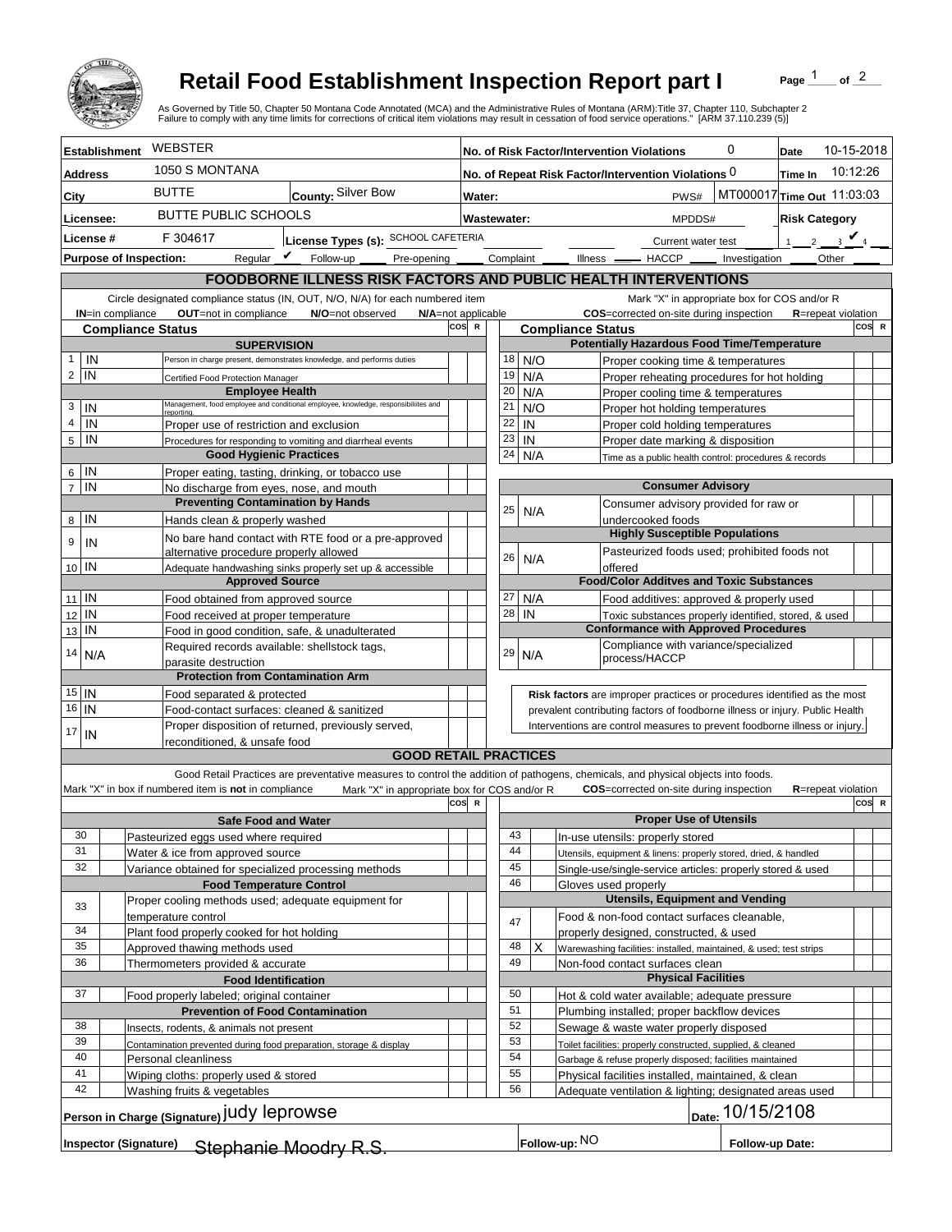

## **Retail Food Establishment Inspection Report part I**

Page  $\frac{1}{1}$  of  $\frac{2}{1}$ 

|                                                                                                                                                                                                                                                                                                |                                                                                        | <b>Retail Food Establishment Inspection Report part I</b><br>As Governed by Title 50, Chapter 50 Montana Code Annotated (MCA) and the Administrative Rules of Montana (ARM):Title 37, Chapter 110, Subchapter 2<br>Failure to comply with any time limits for corrections of critical item violations may result in cessation of food service operations." [ARM 37.110.239 (5)] |     |                                                                       |             |            |                                        |                                                                                                                                                          |  | Page                       | of $^2$                       |
|------------------------------------------------------------------------------------------------------------------------------------------------------------------------------------------------------------------------------------------------------------------------------------------------|----------------------------------------------------------------------------------------|---------------------------------------------------------------------------------------------------------------------------------------------------------------------------------------------------------------------------------------------------------------------------------------------------------------------------------------------------------------------------------|-----|-----------------------------------------------------------------------|-------------|------------|----------------------------------------|----------------------------------------------------------------------------------------------------------------------------------------------------------|--|----------------------------|-------------------------------|
| <b>Establishment</b>                                                                                                                                                                                                                                                                           | WEBSTER                                                                                |                                                                                                                                                                                                                                                                                                                                                                                 |     | 0<br>No. of Risk Factor/Intervention Violations                       |             |            |                                        |                                                                                                                                                          |  | Date                       | 10-15-2018                    |
| <b>Address</b>                                                                                                                                                                                                                                                                                 | 1050 S MONTANA                                                                         |                                                                                                                                                                                                                                                                                                                                                                                 |     | No. of Repeat Risk Factor/Intervention Violations 0<br><b>Time In</b> |             |            |                                        |                                                                                                                                                          |  |                            | 10:12:26                      |
| City                                                                                                                                                                                                                                                                                           | <b>BUTTE</b><br>County: Silver Bow                                                     |                                                                                                                                                                                                                                                                                                                                                                                 |     | MT000017 Time Out 11:03:03<br>PWS#<br>Water:                          |             |            |                                        |                                                                                                                                                          |  |                            |                               |
|                                                                                                                                                                                                                                                                                                | <b>BUTTE PUBLIC SCHOOLS</b>                                                            |                                                                                                                                                                                                                                                                                                                                                                                 |     |                                                                       |             |            |                                        |                                                                                                                                                          |  |                            |                               |
| Licensee:                                                                                                                                                                                                                                                                                      |                                                                                        |                                                                                                                                                                                                                                                                                                                                                                                 |     | Wastewater:                                                           |             |            |                                        | <b>Risk Category</b><br>MPDDS#                                                                                                                           |  |                            |                               |
| License #                                                                                                                                                                                                                                                                                      | F 304617<br>License Types (s): SCHOOL CAFETERIA                                        |                                                                                                                                                                                                                                                                                                                                                                                 |     |                                                                       |             |            |                                        | Current water test                                                                                                                                       |  |                            | $\overline{a}$ $\overline{a}$ |
| <b>Purpose of Inspection:</b>                                                                                                                                                                                                                                                                  | Regular $\mathbf{\nu}$                                                                 | Follow-up<br>Pre-opening                                                                                                                                                                                                                                                                                                                                                        |     |                                                                       | Complaint _ |            | Illness —                              | - HACCP ______ Investigation                                                                                                                             |  | Other                      |                               |
| <b>FOODBORNE ILLNESS RISK FACTORS AND PUBLIC HEALTH INTERVENTIONS</b>                                                                                                                                                                                                                          |                                                                                        |                                                                                                                                                                                                                                                                                                                                                                                 |     |                                                                       |             |            |                                        |                                                                                                                                                          |  |                            |                               |
| Circle designated compliance status (IN, OUT, N/O, N/A) for each numbered item<br>Mark "X" in appropriate box for COS and/or R<br>OUT=not in compliance<br>COS=corrected on-site during inspection<br>IN=in compliance<br>N/O=not observed<br>N/A=not applicable<br><b>R</b> =repeat violation |                                                                                        |                                                                                                                                                                                                                                                                                                                                                                                 |     |                                                                       |             |            |                                        |                                                                                                                                                          |  |                            |                               |
| cos<br><b>Compliance Status</b>                                                                                                                                                                                                                                                                |                                                                                        |                                                                                                                                                                                                                                                                                                                                                                                 |     |                                                                       |             |            | <b>Compliance Status</b>               |                                                                                                                                                          |  |                            | COS R                         |
| <b>SUPERVISION</b>                                                                                                                                                                                                                                                                             |                                                                                        |                                                                                                                                                                                                                                                                                                                                                                                 |     |                                                                       |             |            |                                        | <b>Potentially Hazardous Food Time/Temperature</b>                                                                                                       |  |                            |                               |
| IN<br>1                                                                                                                                                                                                                                                                                        |                                                                                        | Person in charge present, demonstrates knowledge, and performs duties                                                                                                                                                                                                                                                                                                           |     |                                                                       | 18          | N/O        |                                        | Proper cooking time & temperatures                                                                                                                       |  |                            |                               |
| $\overline{c}$<br>IN                                                                                                                                                                                                                                                                           | Certified Food Protection Manager<br><b>Employee Health</b>                            |                                                                                                                                                                                                                                                                                                                                                                                 |     |                                                                       | 19<br>20    | N/A        |                                        | Proper reheating procedures for hot holding                                                                                                              |  |                            |                               |
| 3<br>IN                                                                                                                                                                                                                                                                                        |                                                                                        | Management, food employee and conditional employee, knowledge, responsibiliites and                                                                                                                                                                                                                                                                                             |     |                                                                       | 21          | N/A<br>N/O |                                        | Proper cooling time & temperatures<br>Proper hot holding temperatures                                                                                    |  |                            |                               |
| 4<br>IN                                                                                                                                                                                                                                                                                        | Proper use of restriction and exclusion                                                |                                                                                                                                                                                                                                                                                                                                                                                 |     |                                                                       | 22          | IN         |                                        | Proper cold holding temperatures                                                                                                                         |  |                            |                               |
| IN<br>5                                                                                                                                                                                                                                                                                        | Procedures for responding to vomiting and diarrheal events                             |                                                                                                                                                                                                                                                                                                                                                                                 |     |                                                                       | 23          | IN         |                                        | Proper date marking & disposition                                                                                                                        |  |                            |                               |
|                                                                                                                                                                                                                                                                                                | <b>Good Hygienic Practices</b>                                                         |                                                                                                                                                                                                                                                                                                                                                                                 |     |                                                                       | 24          | N/A        |                                        | Time as a public health control: procedures & records                                                                                                    |  |                            |                               |
| IN<br>6                                                                                                                                                                                                                                                                                        | Proper eating, tasting, drinking, or tobacco use                                       |                                                                                                                                                                                                                                                                                                                                                                                 |     |                                                                       |             |            |                                        |                                                                                                                                                          |  |                            |                               |
| IN<br>$\overline{7}$                                                                                                                                                                                                                                                                           | No discharge from eyes, nose, and mouth<br><b>Preventing Contamination by Hands</b>    |                                                                                                                                                                                                                                                                                                                                                                                 |     |                                                                       |             |            |                                        | <b>Consumer Advisory</b><br>Consumer advisory provided for raw or                                                                                        |  |                            |                               |
| IN<br>8                                                                                                                                                                                                                                                                                        | Hands clean & properly washed                                                          |                                                                                                                                                                                                                                                                                                                                                                                 |     |                                                                       | 25          | N/A        |                                        | undercooked foods                                                                                                                                        |  |                            |                               |
| 9                                                                                                                                                                                                                                                                                              |                                                                                        | No bare hand contact with RTE food or a pre-approved                                                                                                                                                                                                                                                                                                                            |     |                                                                       |             |            |                                        | <b>Highly Susceptible Populations</b>                                                                                                                    |  |                            |                               |
| IN                                                                                                                                                                                                                                                                                             | alternative procedure properly allowed                                                 |                                                                                                                                                                                                                                                                                                                                                                                 |     |                                                                       | 26          | N/A        |                                        | Pasteurized foods used; prohibited foods not                                                                                                             |  |                            |                               |
| 10 IN                                                                                                                                                                                                                                                                                          |                                                                                        | Adequate handwashing sinks properly set up & accessible                                                                                                                                                                                                                                                                                                                         |     |                                                                       |             |            |                                        | offered                                                                                                                                                  |  |                            |                               |
| IN                                                                                                                                                                                                                                                                                             | <b>Approved Source</b>                                                                 |                                                                                                                                                                                                                                                                                                                                                                                 |     |                                                                       | 27          | N/A        |                                        | <b>Food/Color Additves and Toxic Substances</b>                                                                                                          |  |                            |                               |
| 11<br>IN<br>12                                                                                                                                                                                                                                                                                 | Food obtained from approved source<br>Food received at proper temperature              |                                                                                                                                                                                                                                                                                                                                                                                 |     |                                                                       | 28          | IN         |                                        | Food additives: approved & properly used<br>Toxic substances properly identified, stored, & used                                                         |  |                            |                               |
| ΙN<br>13                                                                                                                                                                                                                                                                                       | Food in good condition, safe, & unadulterated                                          |                                                                                                                                                                                                                                                                                                                                                                                 |     |                                                                       |             |            |                                        | <b>Conformance with Approved Procedures</b>                                                                                                              |  |                            |                               |
| 14                                                                                                                                                                                                                                                                                             | Required records available: shellstock tags,                                           |                                                                                                                                                                                                                                                                                                                                                                                 |     |                                                                       | 29          | N/A        |                                        | Compliance with variance/specialized                                                                                                                     |  |                            |                               |
| N/A                                                                                                                                                                                                                                                                                            | parasite destruction                                                                   |                                                                                                                                                                                                                                                                                                                                                                                 |     |                                                                       |             |            |                                        | process/HACCP                                                                                                                                            |  |                            |                               |
| $15$ IN                                                                                                                                                                                                                                                                                        | <b>Protection from Contamination Arm</b>                                               |                                                                                                                                                                                                                                                                                                                                                                                 |     |                                                                       |             |            |                                        |                                                                                                                                                          |  |                            |                               |
| 16<br>IN                                                                                                                                                                                                                                                                                       | Food separated & protected<br>Food-contact surfaces: cleaned & sanitized               |                                                                                                                                                                                                                                                                                                                                                                                 |     |                                                                       |             |            |                                        | Risk factors are improper practices or procedures identified as the most<br>prevalent contributing factors of foodborne illness or injury. Public Health |  |                            |                               |
|                                                                                                                                                                                                                                                                                                | Proper disposition of returned, previously served,                                     |                                                                                                                                                                                                                                                                                                                                                                                 |     |                                                                       |             |            |                                        | Interventions are control measures to prevent foodborne illness or injury.                                                                               |  |                            |                               |
| 17<br>IN                                                                                                                                                                                                                                                                                       | reconditioned, & unsafe food                                                           |                                                                                                                                                                                                                                                                                                                                                                                 |     |                                                                       |             |            |                                        |                                                                                                                                                          |  |                            |                               |
|                                                                                                                                                                                                                                                                                                |                                                                                        | <b>GOOD RETAIL PRACTICES</b>                                                                                                                                                                                                                                                                                                                                                    |     |                                                                       |             |            |                                        |                                                                                                                                                          |  |                            |                               |
|                                                                                                                                                                                                                                                                                                |                                                                                        | Good Retail Practices are preventative measures to control the addition of pathogens, chemicals, and physical objects into foods.                                                                                                                                                                                                                                               |     |                                                                       |             |            |                                        |                                                                                                                                                          |  |                            |                               |
|                                                                                                                                                                                                                                                                                                | Mark "X" in box if numbered item is not in compliance                                  | Mark "X" in appropriate box for COS and/or R                                                                                                                                                                                                                                                                                                                                    | cos | $\mathbf R$                                                           |             |            |                                        | <b>COS</b> =corrected on-site during inspection                                                                                                          |  | <b>R</b> =repeat violation | COS R                         |
|                                                                                                                                                                                                                                                                                                | <b>Safe Food and Water</b>                                                             |                                                                                                                                                                                                                                                                                                                                                                                 |     |                                                                       |             |            |                                        | <b>Proper Use of Utensils</b>                                                                                                                            |  |                            |                               |
| 30                                                                                                                                                                                                                                                                                             | Pasteurized eggs used where required                                                   |                                                                                                                                                                                                                                                                                                                                                                                 |     |                                                                       | 43          |            |                                        | In-use utensils: properly stored                                                                                                                         |  |                            |                               |
| 31                                                                                                                                                                                                                                                                                             | Water & ice from approved source                                                       |                                                                                                                                                                                                                                                                                                                                                                                 |     |                                                                       | 44          |            |                                        | Utensils, equipment & linens: properly stored, dried, & handled                                                                                          |  |                            |                               |
| 32                                                                                                                                                                                                                                                                                             | Variance obtained for specialized processing methods                                   |                                                                                                                                                                                                                                                                                                                                                                                 |     |                                                                       | 45<br>46    |            |                                        | Single-use/single-service articles: properly stored & used                                                                                               |  |                            |                               |
|                                                                                                                                                                                                                                                                                                | <b>Food Temperature Control</b><br>Proper cooling methods used; adequate equipment for |                                                                                                                                                                                                                                                                                                                                                                                 |     |                                                                       |             |            |                                        | Gloves used properly<br><b>Utensils, Equipment and Vending</b>                                                                                           |  |                            |                               |
| 33                                                                                                                                                                                                                                                                                             | temperature control                                                                    |                                                                                                                                                                                                                                                                                                                                                                                 |     |                                                                       |             |            |                                        | Food & non-food contact surfaces cleanable,                                                                                                              |  |                            |                               |
| 34                                                                                                                                                                                                                                                                                             | Plant food properly cooked for hot holding                                             |                                                                                                                                                                                                                                                                                                                                                                                 |     |                                                                       | 47          |            |                                        | properly designed, constructed, & used                                                                                                                   |  |                            |                               |
| 35                                                                                                                                                                                                                                                                                             | Approved thawing methods used                                                          |                                                                                                                                                                                                                                                                                                                                                                                 |     |                                                                       | 48          | X          |                                        | Warewashing facilities: installed, maintained, & used; test strips                                                                                       |  |                            |                               |
| 36                                                                                                                                                                                                                                                                                             | Thermometers provided & accurate                                                       |                                                                                                                                                                                                                                                                                                                                                                                 |     |                                                                       | 49          |            |                                        | Non-food contact surfaces clean                                                                                                                          |  |                            |                               |
|                                                                                                                                                                                                                                                                                                | <b>Food Identification</b>                                                             |                                                                                                                                                                                                                                                                                                                                                                                 |     |                                                                       | 50          |            |                                        | <b>Physical Facilities</b>                                                                                                                               |  |                            |                               |
| 37<br>Food properly labeled; original container<br><b>Prevention of Food Contamination</b>                                                                                                                                                                                                     |                                                                                        |                                                                                                                                                                                                                                                                                                                                                                                 |     |                                                                       | 51          |            |                                        | Hot & cold water available; adequate pressure<br>Plumbing installed; proper backflow devices                                                             |  |                            |                               |
| 38<br>Insects, rodents, & animals not present                                                                                                                                                                                                                                                  |                                                                                        |                                                                                                                                                                                                                                                                                                                                                                                 |     | 52                                                                    |             |            | Sewage & waste water properly disposed |                                                                                                                                                          |  |                            |                               |
| 39                                                                                                                                                                                                                                                                                             | Contamination prevented during food preparation, storage & display                     |                                                                                                                                                                                                                                                                                                                                                                                 |     |                                                                       | 53          |            |                                        | Toilet facilities: properly constructed, supplied, & cleaned                                                                                             |  |                            |                               |
| 40                                                                                                                                                                                                                                                                                             | Personal cleanliness                                                                   |                                                                                                                                                                                                                                                                                                                                                                                 |     |                                                                       | 54          |            |                                        | Garbage & refuse properly disposed; facilities maintained                                                                                                |  |                            |                               |
| 41                                                                                                                                                                                                                                                                                             | Wiping cloths: properly used & stored                                                  |                                                                                                                                                                                                                                                                                                                                                                                 |     |                                                                       | 55          |            |                                        | Physical facilities installed, maintained, & clean                                                                                                       |  |                            |                               |
| 42                                                                                                                                                                                                                                                                                             | Washing fruits & vegetables                                                            |                                                                                                                                                                                                                                                                                                                                                                                 |     |                                                                       | 56          |            |                                        | Adequate ventilation & lighting; designated areas used                                                                                                   |  |                            |                               |
| Person in Charge (Signature) JUDY leprowse<br>Date: 10/15/2108                                                                                                                                                                                                                                 |                                                                                        |                                                                                                                                                                                                                                                                                                                                                                                 |     |                                                                       |             |            |                                        |                                                                                                                                                          |  |                            |                               |
| Follow-up: NO<br><b>Inspector (Signature)</b><br>Follow-up Date:<br>Stephanie Moodry R.S.                                                                                                                                                                                                      |                                                                                        |                                                                                                                                                                                                                                                                                                                                                                                 |     |                                                                       |             |            |                                        |                                                                                                                                                          |  |                            |                               |